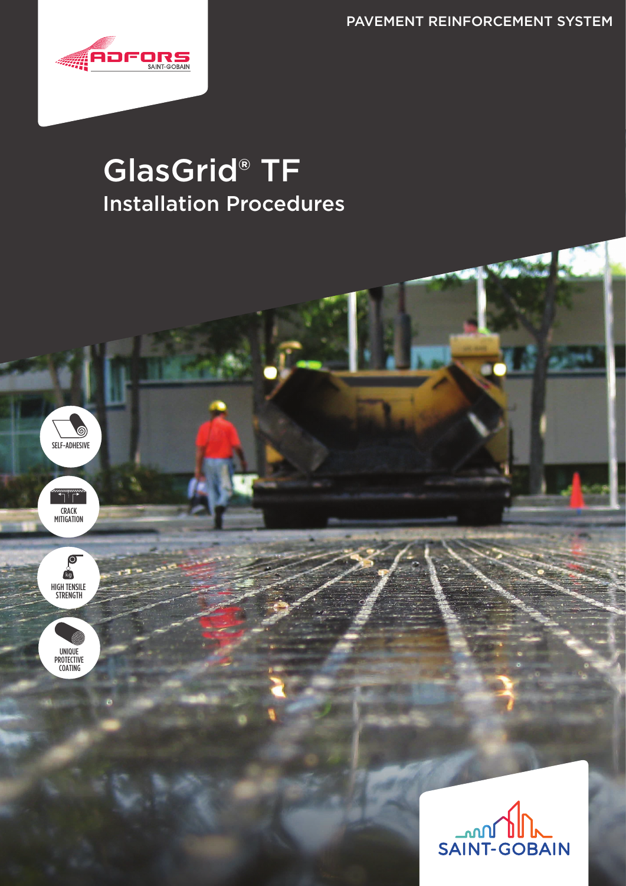PAVEMENT REINFORCEMENT SYSTEM



SELF-ADHESIVE

CRACK MITIGATION

 $\bigcap_{i=1}^{n}$ 

HIGH TENSILE STRENGTH

 $\overline{O}$ **Rg** 

UNIQUE PROTECTIVE COATING

# GlasGrid® TF Installation Procedures

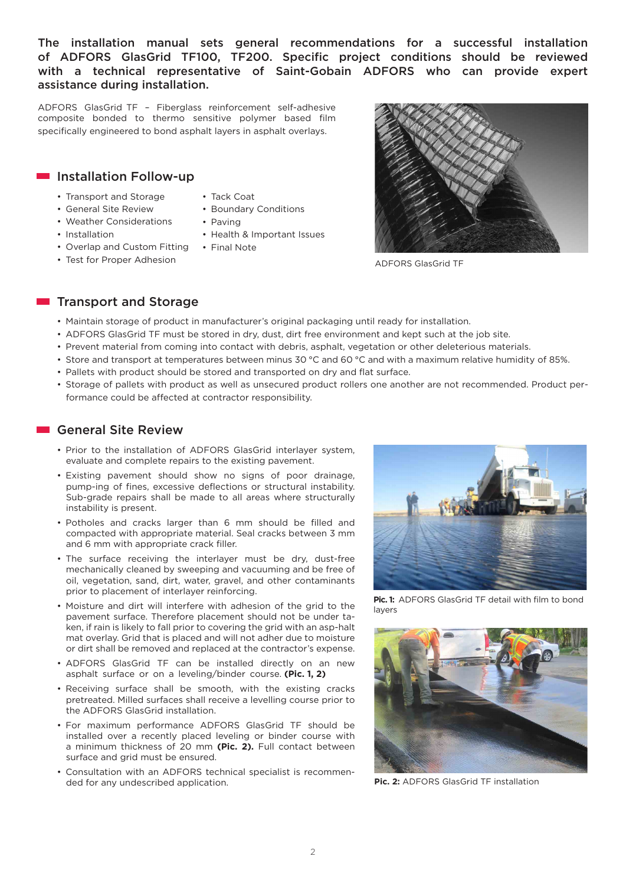The installation manual sets general recommendations for a successful installation of ADFORS GlasGrid TF100, TF200. Specific project conditions should be reviewed with a technical representative of Saint-Gobain ADFORS who can provide expert assistance during installation.

ADFORS GlasGrid TF – Fiberglass reinforcement self-adhesive composite bonded to thermo sensitive polymer based film specifically engineered to bond asphalt layers in asphalt overlays.

#### **Installation Follow-up**

- Transport and Storage
- General Site Review
- 
- 
- Weather Considerations
- Installation
- Overlap and Custom Fitting
- Test for Proper Adhesion
- Tack Coat
- Boundary Conditions
- Paving
- Health & Important Issues
- Final Note

ADFORS GlasGrid TF

#### **Transport and Storage**

- Maintain storage of product in manufacturer's original packaging until ready for installation.
- ADFORS GlasGrid TF must be stored in dry, dust, dirt free environment and kept such at the job site.
- Prevent material from coming into contact with debris, asphalt, vegetation or other deleterious materials.
- Store and transport at temperatures between minus 30 °C and 60 °C and with a maximum relative humidity of 85%.
- Pallets with product should be stored and transported on dry and flat surface.
- Storage of pallets with product as well as unsecured product rollers one another are not recommended. Product performance could be affected at contractor responsibility.

# General Site Review

- Prior to the installation of ADFORS GlasGrid interlayer system, evaluate and complete repairs to the existing pavement.
- Existing pavement should show no signs of poor drainage, pump-ing of fines, excessive deflections or structural instability. Sub-grade repairs shall be made to all areas where structurally instability is present.
- Potholes and cracks larger than 6 mm should be filled and compacted with appropriate material. Seal cracks between 3 mm and 6 mm with appropriate crack filler.
- The surface receiving the interlayer must be dry, dust-free mechanically cleaned by sweeping and vacuuming and be free of oil, vegetation, sand, dirt, water, gravel, and other contaminants prior to placement of interlayer reinforcing.
- Moisture and dirt will interfere with adhesion of the grid to the pavement surface. Therefore placement should not be under taken, if rain is likely to fall prior to covering the grid with an asp-halt mat overlay. Grid that is placed and will not adher due to moisture or dirt shall be removed and replaced at the contractor's expense.
- ADFORS GlasGrid TF can be installed directly on an new asphalt surface or on a leveling/binder course. **(Pic. 1, 2)**
- Receiving surface shall be smooth, with the existing cracks pretreated. Milled surfaces shall receive a levelling course prior to the ADFORS GlasGrid installation.
- For maximum performance ADFORS GlasGrid TF should be installed over a recently placed leveling or binder course with a minimum thickness of 20 mm **(Pic. 2).** Full contact between surface and grid must be ensured.
- Consultation with an ADFORS technical specialist is recommended for any undescribed application.



Pic. 1: ADFORS GlasGrid TF detail with film to bond layers



**Pic. 2:** ADFORS GlasGrid TF installation

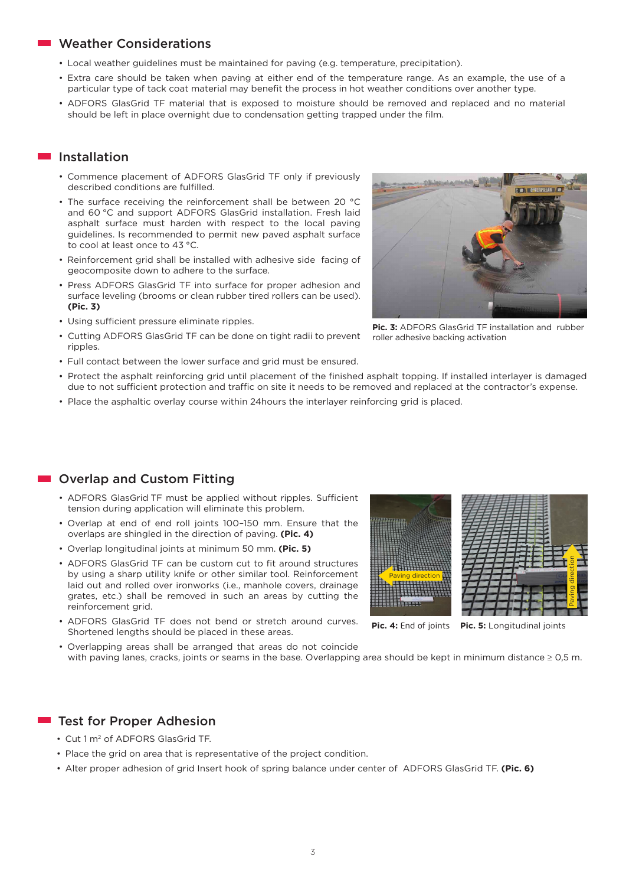### **Weather Considerations**

- Local weather guidelines must be maintained for paving (e.g. temperature, precipitation).
- Extra care should be taken when paving at either end of the temperature range. As an example, the use of a particular type of tack coat material may benefit the process in hot weather conditions over another type.
- ADFORS GlasGrid TF material that is exposed to moisture should be removed and replaced and no material should be left in place overnight due to condensation getting trapped under the film.

#### Installation

- Commence placement of ADFORS GlasGrid TF only if previously described conditions are fulfilled.
- The surface receiving the reinforcement shall be between 20 °C and 60 °C and support ADFORS GlasGrid installation. Fresh laid asphalt surface must harden with respect to the local paving guidelines. Is recommended to permit new paved asphalt surface to cool at least once to 43 °C.
- Reinforcement grid shall be installed with adhesive side facing of geocomposite down to adhere to the surface.
- Press ADFORS GlasGrid TF into surface for proper adhesion and surface leveling (brooms or clean rubber tired rollers can be used). **(Pic. 3)**
- Using sufficient pressure eliminate ripples.
- Cutting ADFORS GlasGrid TF can be done on tight radii to prevent ripples.
- Full contact between the lower surface and grid must be ensured.



- Protect the asphalt reinforcing grid until placement of the finished asphalt topping. If installed interlayer is damaged due to not sufficient protection and traffic on site it needs to be removed and replaced at the contractor's expense.
- Place the asphaltic overlay course within 24hours the interlayer reinforcing grid is placed.

#### **Overlap and Custom Fitting**

- ADFORS GlasGrid TF must be applied without ripples. Sufficient tension during application will eliminate this problem.
- Overlap at end of end roll joints 100–150 mm. Ensure that the overlaps are shingled in the direction of paving. **(Pic. 4)**
- Overlap longitudinal joints at minimum 50 mm. **(Pic. 5)**
- ADFORS GlasGrid TF can be custom cut to fit around structures by using a sharp utility knife or other similar tool. Reinforcement laid out and rolled over ironworks (i.e., manhole covers, drainage grates, etc.) shall be removed in such an areas by cutting the reinforcement grid.
- ADFORS GlasGrid TF does not bend or stretch around curves. Shortened lengths should be placed in these areas.
- Overlapping areas shall be arranged that areas do not coincide with paving lanes, cracks, joints or seams in the base. Overlapping area should be kept in minimum distance ≥ 0,5 m.

#### **Test for Proper Adhesion**

- Cut 1 m2 of ADFORS GlasGrid TF.
- Place the grid on area that is representative of the project condition.
- Alter proper adhesion of grid Insert hook of spring balance under center of ADFORS GlasGrid TF. **(Pic. 6)**



**Pic. 4:** End of joints **Pic. 5:** Longitudinal joints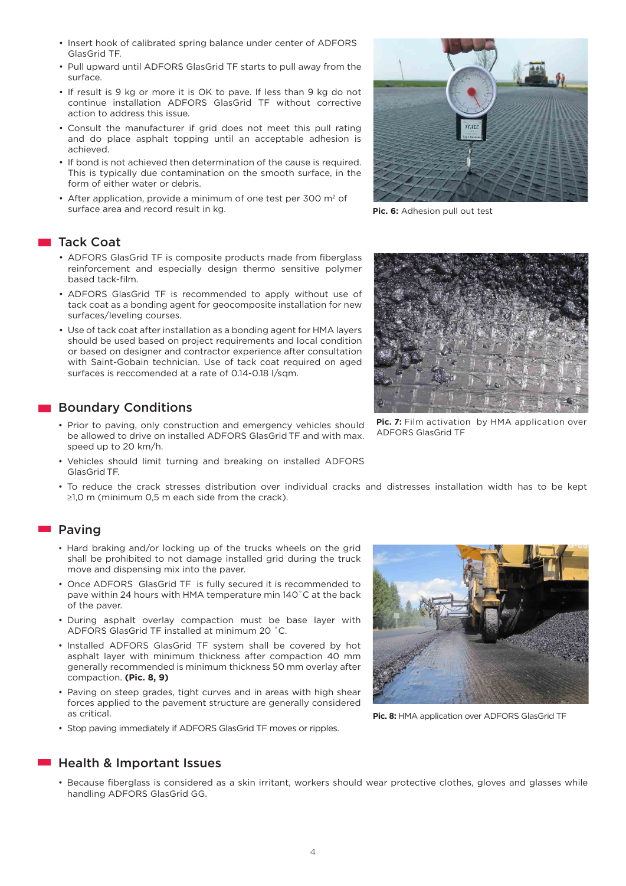- Insert hook of calibrated spring balance under center of ADFORS GlasGrid TF.
- Pull upward until ADFORS GlasGrid TF starts to pull away from the surface.
- If result is 9 kg or more it is OK to pave. If less than 9 kg do not continue installation ADFORS GlasGrid TF without corrective action to address this issue.
- Consult the manufacturer if grid does not meet this pull rating and do place asphalt topping until an acceptable adhesion is achieved.
- If bond is not achieved then determination of the cause is required. This is typically due contamination on the smooth surface, in the form of either water or debris.
- After application, provide a minimum of one test per 300  $m<sup>2</sup>$  of surface area and record result in kg. **Pic. 6:** Adhesion pull out test

#### **Tack Coat**

- ADFORS GlasGrid TF is composite products made from fiberglass reinforcement and especially design thermo sensitive polymer based tack-film.
- ADFORS GlasGrid TF is recommended to apply without use of tack coat as a bonding agent for geocomposite installation for new surfaces/leveling courses.
- Use of tack coat after installation as a bonding agent for HMA layers should be used based on project requirements and local condition or based on designer and contractor experience after consultation with Saint-Gobain technician. Use of tack coat required on aged surfaces is reccomended at a rate of 0.14-0.18 l/sqm.

#### **Boundary Conditions**

- Prior to paving, only construction and emergency vehicles should be allowed to drive on installed ADFORS GlasGrid TF and with max. speed up to 20 km/h.
- Vehicles should limit turning and breaking on installed ADFORS GlasGrid TF.
- To reduce the crack stresses distribution over individual cracks and distresses installation width has to be kept ≥1,0 m (minimum 0,5 m each side from the crack).

#### **Paving**

- Hard braking and/or locking up of the trucks wheels on the grid shall be prohibited to not damage installed grid during the truck move and dispensing mix into the paver.
- Once ADFORS GlasGrid TF is fully secured it is recommended to pave within 24 hours with HMA temperature min 140˚C at the back of the paver.
- During asphalt overlay compaction must be base layer with ADFORS GlasGrid TF installed at minimum 20 ˚C.
- Installed ADFORS GlasGrid TF system shall be covered by hot asphalt layer with minimum thickness after compaction 40 mm generally recommended is minimum thickness 50 mm overlay after compaction. **(Pic. 8, 9)**
- Paving on steep grades, tight curves and in areas with high shear forces applied to the pavement structure are generally considered as critical.
- Stop paving immediately if ADFORS GlasGrid TF moves or ripples.

#### ■ Health & Important Issues

• Because fiberglass is considered as a skin irritant, workers should wear protective clothes, gloves and glasses while handling ADFORS GlasGrid GG.



Pic. 8: HMA application over ADFORS GlasGrid TF



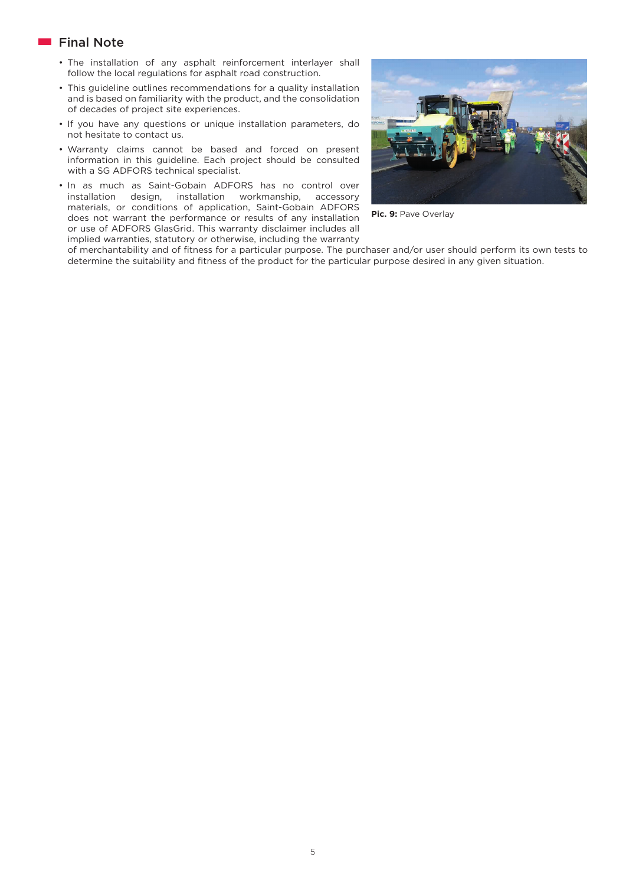# **Final Note**

- The installation of any asphalt reinforcement interlayer shall follow the local regulations for asphalt road construction.
- This guideline outlines recommendations for a quality installation and is based on familiarity with the product, and the consolidation of decades of project site experiences.
- If you have any questions or unique installation parameters, do not hesitate to contact us.
- Warranty claims cannot be based and forced on present information in this guideline. Each project should be consulted with a SG ADFORS technical specialist.
- In as much as Saint-Gobain ADFORS has no control over installation design, installation workmanship, accessory materials, or conditions of application, Saint-Gobain ADFORS does not warrant the performance or results of any installation or use of ADFORS GlasGrid. This warranty disclaimer includes all implied warranties, statutory or otherwise, including the warranty



Pic. 9: Pave Overlay

of merchantability and of fitness for a particular purpose. The purchaser and/or user should perform its own tests to determine the suitability and fitness of the product for the particular purpose desired in any given situation.